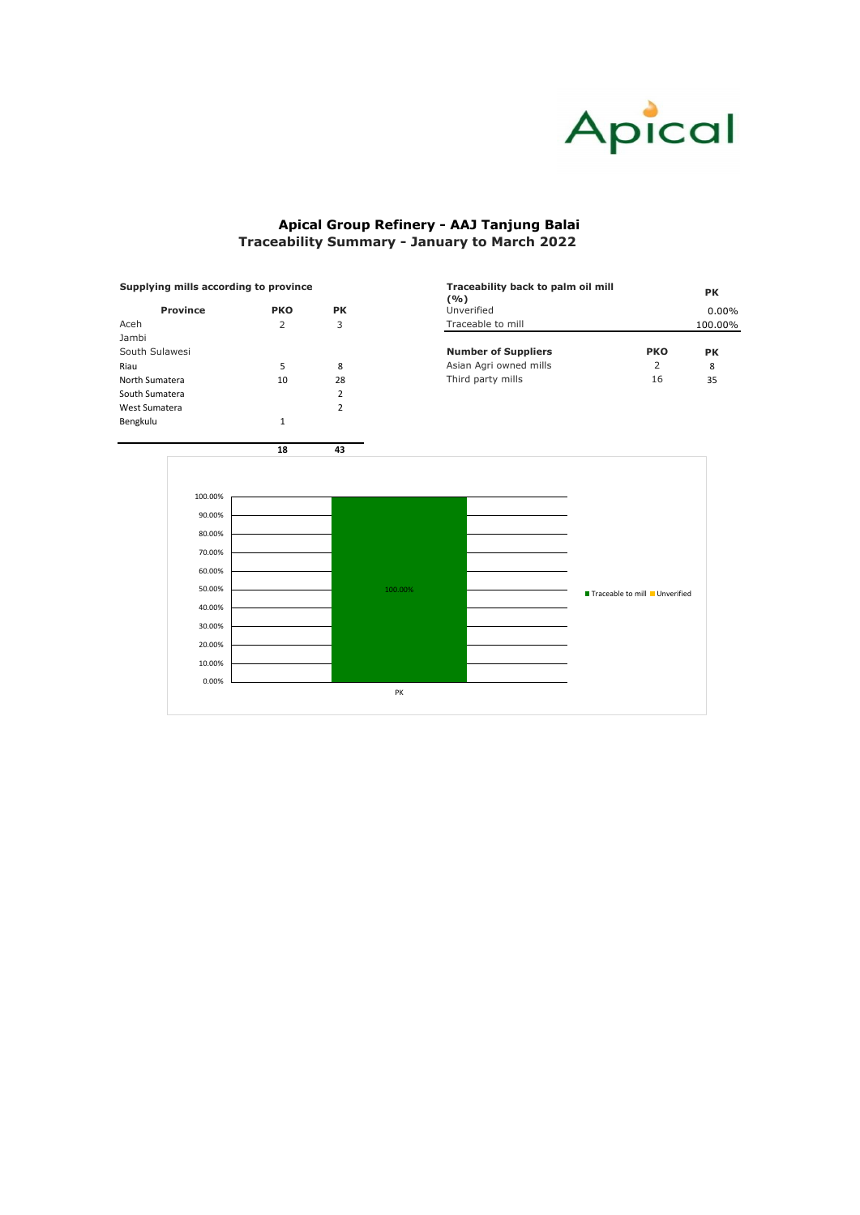| Supplying mills according to province |                                       |    | Traceability back to palm oil mill<br>(9/0) |            | <b>PK</b> |  |
|---------------------------------------|---------------------------------------|----|---------------------------------------------|------------|-----------|--|
| <b>Province</b>                       | <b>PK</b><br><b>PKO</b><br>Unverified |    |                                             |            | $0.00\%$  |  |
| Aceh                                  |                                       |    | Traceable to mill<br>100.00%                |            |           |  |
| Jambi                                 |                                       |    |                                             |            |           |  |
| South Sulawesi                        |                                       |    | <b>Number of Suppliers</b>                  | <b>PKO</b> | <b>PK</b> |  |
| Riau                                  |                                       | 8  | Asian Agri owned mills                      |            | 8         |  |
| North Sumatera                        | 10                                    | 28 | Third party mills                           | 16         | 35        |  |

| <b>Province</b> | <b>PKO</b> | <b>PK</b>      | $\sqrt{U}$<br>Unverified   |            | 0.        |
|-----------------|------------|----------------|----------------------------|------------|-----------|
| Aceh            | 2          | 3              | Traceable to mill          |            | 100.      |
| Jambi           |            |                |                            |            |           |
| South Sulawesi  |            |                | <b>Number of Suppliers</b> | <b>PKO</b> | <b>PK</b> |
| Riau            | 5          | 8              | Asian Agri owned mills     | 2          | 8         |
| North Sumatera  | 10         | 28             | Third party mills          | 16         | 35        |
| South Sumatera  |            | $\mathcal{D}$  |                            |            |           |
| West Sumatera   |            | $\mathfrak{p}$ |                            |            |           |
| Bengkulu        |            |                |                            |            |           |
|                 |            |                |                            |            |           |

#### **Supplying mills according to province**



# **Apical Group Refinery - AAJ Tanjung Balai Traceability Summary - January to March 2022**

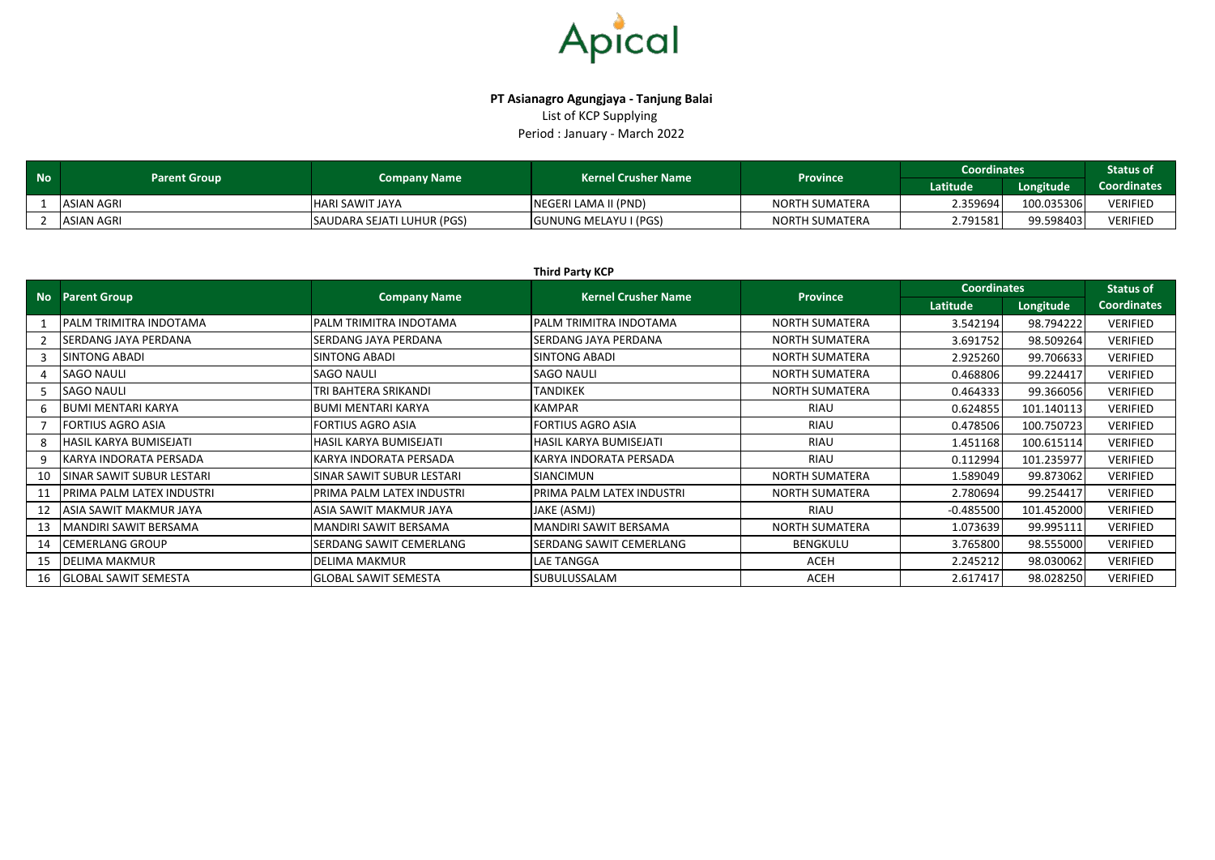

## **PT Asianagro Agungjaya - Tanjung Balai** List of KCP Supplying Period : January - March 2022

| <b>No</b> | <b>Parent Group</b> | <b>Company Name</b>        | <b>Kernel Crusher Name</b> |                       | <b>Coordinates</b><br><b>Province</b> |            |                 |
|-----------|---------------------|----------------------------|----------------------------|-----------------------|---------------------------------------|------------|-----------------|
|           |                     |                            |                            |                       | Latitude                              | Longitude  | Coordinates     |
|           | <b>ASIAN AGRI</b>   | <b>HARI SAWIT JAYA</b>     | NEGERI LAMA II (PND)       | <b>NORTH SUMATERA</b> | 2.359694                              | 100.035306 | <b>VERIFIED</b> |
|           | ASIAN AGRI          | SAUDARA SEJATI LUHUR (PGS) | GUNUNG MELAYU I (PGS)      | <b>NORTH SUMATERA</b> | 2.791581'                             | 99.598403  | <b>VERIFIED</b> |

|    | <b>Third Party KCP</b>           |                             |                                |                       |                    |                  |                    |  |  |  |
|----|----------------------------------|-----------------------------|--------------------------------|-----------------------|--------------------|------------------|--------------------|--|--|--|
|    | <b>No</b> Parent Group           | <b>Company Name</b>         | <b>Kernel Crusher Name</b>     | <b>Province</b>       | <b>Coordinates</b> | <b>Status of</b> |                    |  |  |  |
|    |                                  |                             |                                |                       | Latitude           | Longitude        | <b>Coordinates</b> |  |  |  |
|    | <b>PALM TRIMITRA INDOTAMA</b>    | PALM TRIMITRA INDOTAMA      | IPALM TRIMITRA INDOTAMA        | <b>NORTH SUMATERA</b> | 3.542194           | 98.794222        | <b>VERIFIED</b>    |  |  |  |
|    | <b>SERDANG JAYA PERDANA</b>      | SERDANG JAYA PERDANA        | <b>SERDANG JAYA PERDANA</b>    | <b>NORTH SUMATERA</b> | 3.691752           | 98.509264        | <b>VERIFIED</b>    |  |  |  |
|    | <b>SINTONG ABADI</b>             | SINTONG ABADI               | <b>SINTONG ABADI</b>           | <b>NORTH SUMATERA</b> | 2.925260           | 99.706633        | <b>VERIFIED</b>    |  |  |  |
|    | <b>SAGO NAULI</b>                | <b>SAGO NAULI</b>           | <b>SAGO NAULI</b>              | <b>NORTH SUMATERA</b> | 0.468806           | 99.224417        | <b>VERIFIED</b>    |  |  |  |
|    | <b>SAGO NAULI</b>                | TRI BAHTERA SRIKANDI        | <b>TANDIKEK</b>                | <b>NORTH SUMATERA</b> | 0.464333           | 99.366056        | <b>VERIFIED</b>    |  |  |  |
|    | <b>BUMI MENTARI KARYA</b>        | <b>BUMI MENTARI KARYA</b>   | <b>KAMPAR</b>                  | RIAU                  | 0.624855           | 101.140113       | <b>VERIFIED</b>    |  |  |  |
|    | <b>FORTIUS AGRO ASIA</b>         | FORTIUS AGRO ASIA           | <b>FORTIUS AGRO ASIA</b>       | <b>RIAU</b>           | 0.478506           | 100.750723       | <b>VERIFIED</b>    |  |  |  |
|    | <b>HASIL KARYA BUMISEJATI</b>    | HASIL KARYA BUMISEJATI      | HASIL KARYA BUMISEJATI         | <b>RIAU</b>           | 1.451168           | 100.615114       | <b>VERIFIED</b>    |  |  |  |
| 9  | KARYA INDORATA PERSADA           | KARYA INDORATA PERSADA      | KARYA INDORATA PERSADA         | <b>RIAU</b>           | 0.112994           | 101.235977       | <b>VERIFIED</b>    |  |  |  |
| 10 | ISINAR SAWIT SUBUR LESTARI       | SINAR SAWIT SUBUR LESTARI   | <b>SIANCIMUN</b>               | <b>NORTH SUMATERA</b> | 1.589049           | 99.873062        | <b>VERIFIED</b>    |  |  |  |
| 11 | <b>PRIMA PALM LATEX INDUSTRI</b> | PRIMA PALM LATEX INDUSTRI   | PRIMA PALM LATEX INDUSTRI      | <b>NORTH SUMATERA</b> | 2.780694           | 99.254417        | <b>VERIFIED</b>    |  |  |  |
| 12 | <b>ASIA SAWIT MAKMUR JAYA</b>    | ASIA SAWIT MAKMUR JAYA      | JAKE (ASMJ)                    | <b>RIAU</b>           | $-0.485500$        | 101.452000       | <b>VERIFIED</b>    |  |  |  |
| 13 | MANDIRI SAWIT BERSAMA            | VIANDIRI SAWIT BERSAMA      | MANDIRI SAWIT BERSAMA          | <b>NORTH SUMATERA</b> | 1.073639           | 99.995111        | <b>VERIFIED</b>    |  |  |  |
| 14 | <b>CEMERLANG GROUP</b>           | SERDANG SAWIT CEMERLANG     | <b>SERDANG SAWIT CEMERLANG</b> | <b>BENGKULU</b>       | 3.765800           | 98.555000        | <b>VERIFIED</b>    |  |  |  |
| 15 | <b>DELIMA MAKMUR</b>             | <b>DELIMA MAKMUR</b>        | <b>LAE TANGGA</b>              | ACEH                  | 2.245212           | 98.030062        | <b>VERIFIED</b>    |  |  |  |
| 16 | <b>GLOBAL SAWIT SEMESTA</b>      | <b>GLOBAL SAWIT SEMESTA</b> | SUBULUSSALAM                   | <b>ACEH</b>           | 2.617417           | 98.028250        | <b>VERIFIED</b>    |  |  |  |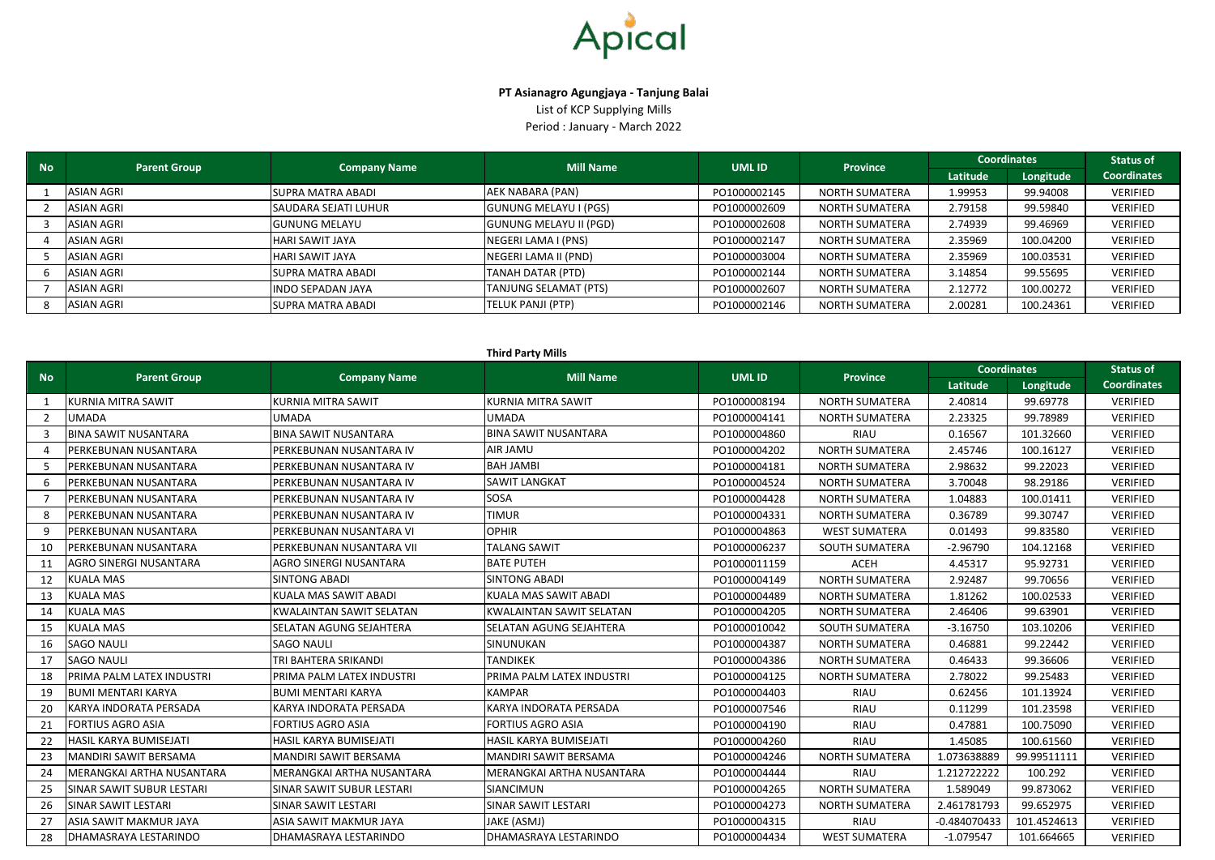#### **Third Party Mills**

| <b>No</b> | <b>Parent Group</b> |                             |                               | <b>Mill Name</b> | <b>UMLID</b>          | <b>Province</b> | <b>Coordinates</b> |                    | <b>Status of</b> |
|-----------|---------------------|-----------------------------|-------------------------------|------------------|-----------------------|-----------------|--------------------|--------------------|------------------|
|           |                     | <b>Company Name</b>         |                               |                  |                       | Latitude        | Longitude          | <b>Coordinates</b> |                  |
|           | ASIAN AGRI          | <b>SUPRA MATRA ABADI</b>    | AEK NABARA (PAN)              | PO1000002145     | <b>NORTH SUMATERA</b> | 1.99953         | 99.94008           | VERIFIED           |                  |
|           | <b>ASIAN AGRI</b>   | <b>SAUDARA SEJATI LUHUR</b> | <b>GUNUNG MELAYU I (PGS)</b>  | PO1000002609     | <b>NORTH SUMATERA</b> | 2.79158         | 99.59840           | VERIFIED           |                  |
|           | ASIAN AGRI          | <b>GUNUNG MELAYU</b>        | <b>GUNUNG MELAYU II (PGD)</b> | PO1000002608     | NORTH SUMATERA        | 2.74939         | 99.46969           | VERIFIED           |                  |
|           | ASIAN AGRI          | HARI SAWIT JAYA             | NEGERI LAMA I (PNS)           | PO1000002147     | <b>NORTH SUMATERA</b> | 2.35969         | 100.04200          | VERIFIED           |                  |
|           | ASIAN AGRI          | HARI SAWIT JAYA             | NEGERI LAMA II (PND)          | PO1000003004     | NORTH SUMATERA        | 2.35969         | 100.03531          | VERIFIED           |                  |
|           | <b>ASIAN AGRI</b>   | <b>SUPRA MATRA ABADI</b>    | <b>TANAH DATAR (PTD)</b>      | PO1000002144     | <b>NORTH SUMATERA</b> | 3.14854         | 99.55695           | <b>VERIFIED</b>    |                  |
|           | ASIAN AGRI          | <b>INDO SEPADAN JAYA</b>    | <b>TANJUNG SELAMAT (PTS)</b>  | PO1000002607     | NORTH SUMATERA        | 2.12772         | 100.00272          | VERIFIED           |                  |
|           | ASIAN AGRI          | <b>SUPRA MATRA ABADI</b>    | TELUK PANJI (PTP)             | PO1000002146     | NORTH SUMATERA        | 2.00281         | 100.24361          | <b>VERIFIED</b>    |                  |



### **PT Asianagro Agungjaya - Tanjung Balai**

| <b>No</b>      |                               | <b>Company Name</b>             | <b>Mill Name</b>                | <b>UMLID</b> | <b>Province</b>       | <b>Coordinates</b> |             | <b>Status of</b>   |  |
|----------------|-------------------------------|---------------------------------|---------------------------------|--------------|-----------------------|--------------------|-------------|--------------------|--|
|                | <b>Parent Group</b>           |                                 |                                 |              |                       | Latitude           | Longitude   | <b>Coordinates</b> |  |
| $\mathbf{1}$   | <b>KURNIA MITRA SAWIT</b>     | <b>KURNIA MITRA SAWIT</b>       | <b>KURNIA MITRA SAWIT</b>       | PO1000008194 | <b>NORTH SUMATERA</b> | 2.40814            | 99.69778    | <b>VERIFIED</b>    |  |
| $\overline{2}$ | <b>UMADA</b>                  | <b>UMADA</b>                    | <b>UMADA</b>                    | PO1000004141 | <b>NORTH SUMATERA</b> | 2.23325            | 99.78989    | VERIFIED           |  |
| 3              | <b>BINA SAWIT NUSANTARA</b>   | <b>BINA SAWIT NUSANTARA</b>     | <b>BINA SAWIT NUSANTARA</b>     | PO1000004860 | <b>RIAU</b>           | 0.16567            | 101.32660   | VERIFIED           |  |
| $\Delta$       | PERKEBUNAN NUSANTARA          | PERKEBUNAN NUSANTARA IV         | AIR JAMU                        | PO1000004202 | <b>NORTH SUMATERA</b> | 2.45746            | 100.16127   | <b>VERIFIED</b>    |  |
| 5              | PERKEBUNAN NUSANTARA          | PERKEBUNAN NUSANTARA IV         | <b>BAH JAMBI</b>                | PO1000004181 | <b>NORTH SUMATERA</b> | 2.98632            | 99.22023    | VERIFIED           |  |
| 6              | PERKEBUNAN NUSANTARA          | PERKEBUNAN NUSANTARA IV         | <b>SAWIT LANGKAT</b>            | PO1000004524 | <b>NORTH SUMATERA</b> | 3.70048            | 98.29186    | <b>VERIFIED</b>    |  |
| $\overline{7}$ | PERKEBUNAN NUSANTARA          | PERKEBUNAN NUSANTARA IV         | SOSA                            | PO1000004428 | <b>NORTH SUMATERA</b> | 1.04883            | 100.01411   | <b>VERIFIED</b>    |  |
| 8              | PERKEBUNAN NUSANTARA          | PERKEBUNAN NUSANTARA IV         | <b>TIMUR</b>                    | PO1000004331 | <b>NORTH SUMATERA</b> | 0.36789            | 99.30747    | <b>VERIFIED</b>    |  |
| 9              | PERKEBUNAN NUSANTARA          | PERKEBUNAN NUSANTARA VI         | <b>OPHIR</b>                    | PO1000004863 | <b>WEST SUMATERA</b>  | 0.01493            | 99.83580    | <b>VERIFIED</b>    |  |
| 10             | PERKEBUNAN NUSANTARA          | PERKEBUNAN NUSANTARA VII        | <b>TALANG SAWIT</b>             | PO1000006237 | <b>SOUTH SUMATERA</b> | $-2.96790$         | 104.12168   | <b>VERIFIED</b>    |  |
| 11             | <b>AGRO SINERGI NUSANTARA</b> | AGRO SINERGI NUSANTARA          | <b>BATE PUTEH</b>               | PO1000011159 | <b>ACEH</b>           | 4.45317            | 95.92731    | VERIFIED           |  |
| 12             | <b>KUALA MAS</b>              | <b>SINTONG ABADI</b>            | <b>SINTONG ABADI</b>            | PO1000004149 | <b>NORTH SUMATERA</b> | 2.92487            | 99.70656    | <b>VERIFIED</b>    |  |
| 13             | <b>KUALA MAS</b>              | KUALA MAS SAWIT ABADI           | <b>KUALA MAS SAWIT ABADI</b>    | PO1000004489 | <b>NORTH SUMATERA</b> | 1.81262            | 100.02533   | VERIFIED           |  |
| 14             | <b>KUALA MAS</b>              | <b>KWALAINTAN SAWIT SELATAN</b> | <b>KWALAINTAN SAWIT SELATAN</b> | PO1000004205 | <b>NORTH SUMATERA</b> | 2.46406            | 99.63901    | VERIFIED           |  |
| 15             | <b>KUALA MAS</b>              | SELATAN AGUNG SEJAHTERA         | SELATAN AGUNG SEJAHTERA         | PO1000010042 | <b>SOUTH SUMATERA</b> | $-3.16750$         | 103.10206   | <b>VERIFIED</b>    |  |
| 16             | <b>SAGO NAULI</b>             | <b>SAGO NAULI</b>               | SINUNUKAN                       | PO1000004387 | <b>NORTH SUMATERA</b> | 0.46881            | 99.22442    | <b>VERIFIED</b>    |  |
| 17             | <b>SAGO NAULI</b>             | TRI BAHTERA SRIKANDI            | <b>TANDIKEK</b>                 | PO1000004386 | <b>NORTH SUMATERA</b> | 0.46433            | 99.36606    | VERIFIED           |  |
| 18             | PRIMA PALM LATEX INDUSTRI     | PRIMA PALM LATEX INDUSTRI       | PRIMA PALM LATEX INDUSTRI       | PO1000004125 | <b>NORTH SUMATERA</b> | 2.78022            | 99.25483    | <b>VERIFIED</b>    |  |
| 19             | <b>BUMI MENTARI KARYA</b>     | <b>BUMI MENTARI KARYA</b>       | <b>KAMPAR</b>                   | PO1000004403 | <b>RIAU</b>           | 0.62456            | 101.13924   | <b>VERIFIED</b>    |  |
| 20             | KARYA INDORATA PERSADA        | KARYA INDORATA PERSADA          | KARYA INDORATA PERSADA          | PO1000007546 | RIAU                  | 0.11299            | 101.23598   | <b>VERIFIED</b>    |  |
| 21             | <b>FORTIUS AGRO ASIA</b>      | <b>FORTIUS AGRO ASIA</b>        | <b>FORTIUS AGRO ASIA</b>        | PO1000004190 | <b>RIAU</b>           | 0.47881            | 100.75090   | VERIFIED           |  |
| 22             | HASIL KARYA BUMISEJATI        | HASIL KARYA BUMISEJATI          | HASIL KARYA BUMISEJATI          | PO1000004260 | <b>RIAU</b>           | 1.45085            | 100.61560   | <b>VERIFIED</b>    |  |
| 23             | MANDIRI SAWIT BERSAMA         | MANDIRI SAWIT BERSAMA           | MANDIRI SAWIT BERSAMA           | PO1000004246 | <b>NORTH SUMATERA</b> | 1.073638889        | 99.99511111 | <b>VERIFIED</b>    |  |
| 24             | MERANGKAI ARTHA NUSANTARA     | MERANGKAI ARTHA NUSANTARA       | MERANGKAI ARTHA NUSANTARA       | PO1000004444 | <b>RIAU</b>           | 1.212722222        | 100.292     | <b>VERIFIED</b>    |  |
| 25             | SINAR SAWIT SUBUR LESTARI     | SINAR SAWIT SUBUR LESTARI       | <b>SIANCIMUN</b>                | PO1000004265 | <b>NORTH SUMATERA</b> | 1.589049           | 99.873062   | <b>VERIFIED</b>    |  |
| 26             | SINAR SAWIT LESTARI           | <b>SINAR SAWIT LESTARI</b>      | SINAR SAWIT LESTARI             | PO1000004273 | <b>NORTH SUMATERA</b> | 2.461781793        | 99.652975   | <b>VERIFIED</b>    |  |
| 27             | ASIA SAWIT MAKMUR JAYA        | ASIA SAWIT MAKMUR JAYA          | JAKE (ASMJ)                     | PO1000004315 | <b>RIAU</b>           | $-0.484070433$     | 101.4524613 | <b>VERIFIED</b>    |  |
| 28             | DHAMASRAYA LESTARINDO         | DHAMASRAYA LESTARINDO           | DHAMASRAYA LESTARINDO           | PO1000004434 | <b>WEST SUMATERA</b>  | $-1.079547$        | 101.664665  | <b>VERIFIED</b>    |  |

List of KCP Supplying Mills Period : January - March 2022